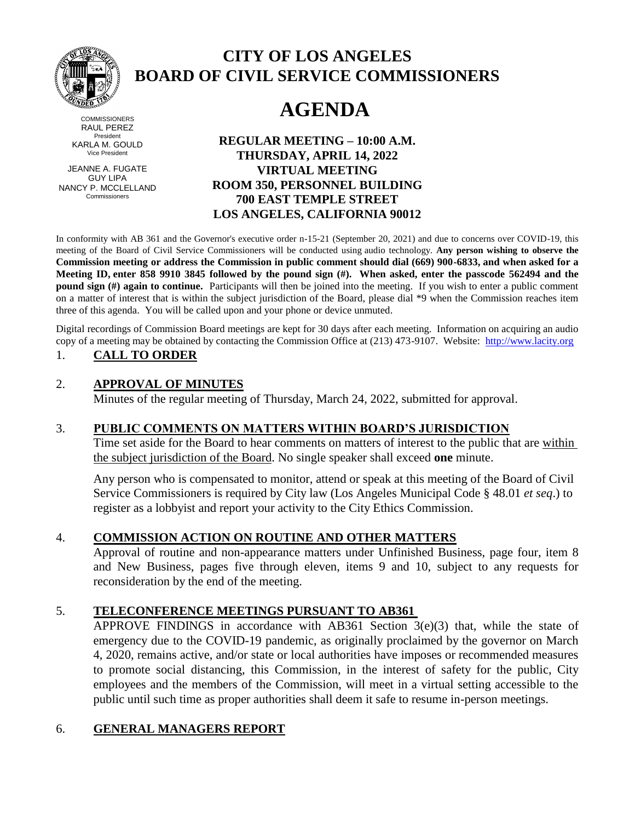

**COMMISSIONERS** RAUL PEREZ President KARLA M. GOULD Vice President

JEANNE A. FUGATE GUY LIPA NANCY P. MCCLELLAND Commissioners

# **CITY OF LOS ANGELES BOARD OF CIVIL SERVICE COMMISSIONERS**

# **AGENDA**

**REGULAR MEETING – 10:00 A.M. THURSDAY, APRIL 14, 2022 VIRTUAL MEETING ROOM 350, PERSONNEL BUILDING 700 EAST TEMPLE STREET LOS ANGELES, CALIFORNIA 90012**

In conformity with AB 361 and the Governor's executive order n-15-21 (September 20, 2021) and due to concerns over COVID-19, this meeting of the Board of Civil Service Commissioners will be conducted using audio technology. **Any person wishing to observe the Commission meeting or address the Commission in public comment should dial (669) 900-6833, and when asked for a Meeting ID, enter 858 9910 3845 followed by the pound sign (#). When asked, enter the passcode 562494 and the pound sign (#) again to continue.** Participants will then be joined into the meeting. If you wish to enter a public comment on a matter of interest that is within the subject jurisdiction of the Board, please dial \*9 when the Commission reaches item three of this agenda. You will be called upon and your phone or device unmuted.

Digital recordings of Commission Board meetings are kept for 30 days after each meeting. Information on acquiring an audio copy of a meeting may be obtained by contacting the Commission Office at (213) 473-9107. Website: [http://www.lacity.org](http://www.lacity.org/)

# 1. **CALL TO ORDER**

#### 2. **APPROVAL OF MINUTES**

Minutes of the regular meeting of Thursday, March 24, 2022, submitted for approval.

# 3. **PUBLIC COMMENTS ON MATTERS WITHIN BOARD'S JURISDICTION**

Time set aside for the Board to hear comments on matters of interest to the public that are within the subject jurisdiction of the Board. No single speaker shall exceed **one** minute.

Any person who is compensated to monitor, attend or speak at this meeting of the Board of Civil Service Commissioners is required by City law (Los Angeles Municipal Code § 48.01 *et seq*.) to register as a lobbyist and report your activity to the City Ethics Commission.

#### 4. **COMMISSION ACTION ON ROUTINE AND OTHER MATTERS**

Approval of routine and non-appearance matters under Unfinished Business, page four, item 8 and New Business, pages five through eleven, items 9 and 10, subject to any requests for reconsideration by the end of the meeting.

# 5. **TELECONFERENCE MEETINGS PURSUANT TO AB361**

APPROVE FINDINGS in accordance with AB361 Section 3(e)(3) that, while the state of emergency due to the COVID-19 pandemic, as originally proclaimed by the governor on March 4, 2020, remains active, and/or state or local authorities have imposes or recommended measures to promote social distancing, this Commission, in the interest of safety for the public, City employees and the members of the Commission, will meet in a virtual setting accessible to the public until such time as proper authorities shall deem it safe to resume in-person meetings.

# 6. **GENERAL MANAGERS REPORT**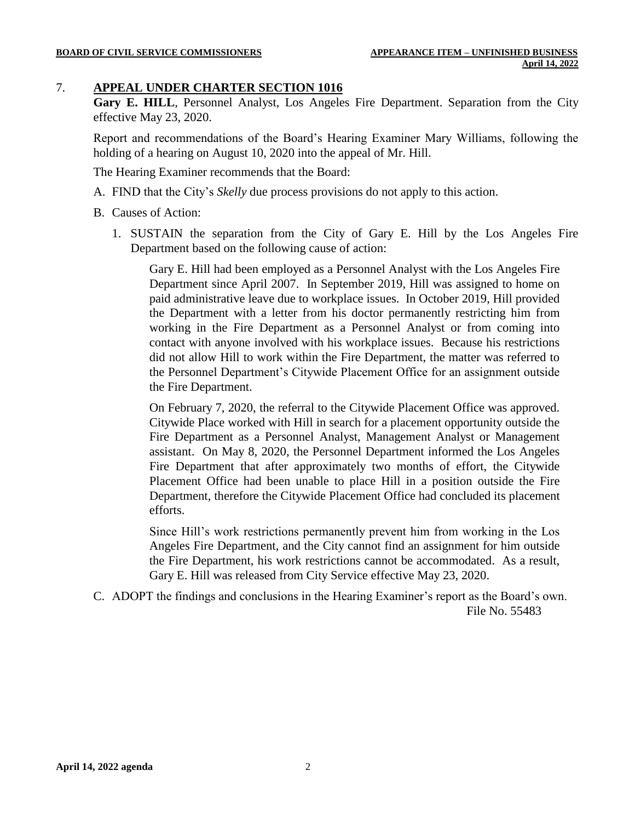#### 7. **APPEAL UNDER CHARTER SECTION 1016**

**Gary E. HILL**, Personnel Analyst, Los Angeles Fire Department. Separation from the City effective May 23, 2020.

Report and recommendations of the Board's Hearing Examiner Mary Williams, following the holding of a hearing on August 10, 2020 into the appeal of Mr. Hill.

The Hearing Examiner recommends that the Board:

- A. FIND that the City's *Skelly* due process provisions do not apply to this action.
- B. Causes of Action:
	- 1. SUSTAIN the separation from the City of Gary E. Hill by the Los Angeles Fire Department based on the following cause of action:

Gary E. Hill had been employed as a Personnel Analyst with the Los Angeles Fire Department since April 2007. In September 2019, Hill was assigned to home on paid administrative leave due to workplace issues. In October 2019, Hill provided the Department with a letter from his doctor permanently restricting him from working in the Fire Department as a Personnel Analyst or from coming into contact with anyone involved with his workplace issues. Because his restrictions did not allow Hill to work within the Fire Department, the matter was referred to the Personnel Department's Citywide Placement Office for an assignment outside the Fire Department.

On February 7, 2020, the referral to the Citywide Placement Office was approved. Citywide Place worked with Hill in search for a placement opportunity outside the Fire Department as a Personnel Analyst, Management Analyst or Management assistant. On May 8, 2020, the Personnel Department informed the Los Angeles Fire Department that after approximately two months of effort, the Citywide Placement Office had been unable to place Hill in a position outside the Fire Department, therefore the Citywide Placement Office had concluded its placement efforts.

Since Hill's work restrictions permanently prevent him from working in the Los Angeles Fire Department, and the City cannot find an assignment for him outside the Fire Department, his work restrictions cannot be accommodated. As a result, Gary E. Hill was released from City Service effective May 23, 2020.

C. ADOPT the findings and conclusions in the Hearing Examiner's report as the Board's own. File No. 55483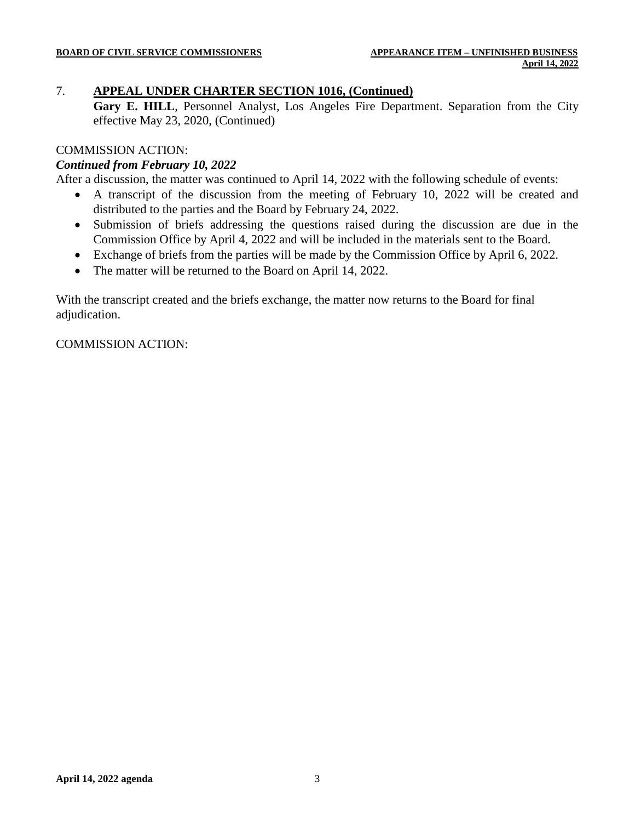# 7. **APPEAL UNDER CHARTER SECTION 1016, (Continued)**

**Gary E. HILL**, Personnel Analyst, Los Angeles Fire Department. Separation from the City effective May 23, 2020, (Continued)

#### COMMISSION ACTION:

#### *Continued from February 10, 2022*

After a discussion, the matter was continued to April 14, 2022 with the following schedule of events:

- A transcript of the discussion from the meeting of February 10, 2022 will be created and distributed to the parties and the Board by February 24, 2022.
- Submission of briefs addressing the questions raised during the discussion are due in the Commission Office by April 4, 2022 and will be included in the materials sent to the Board.
- Exchange of briefs from the parties will be made by the Commission Office by April 6, 2022.
- The matter will be returned to the Board on April 14, 2022.

With the transcript created and the briefs exchange, the matter now returns to the Board for final adjudication.

COMMISSION ACTION: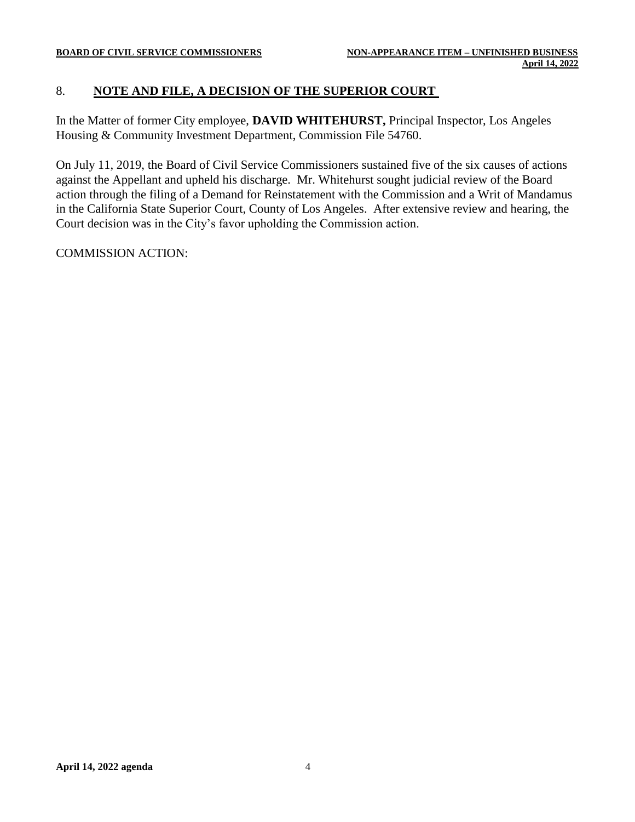# 8. **NOTE AND FILE, A DECISION OF THE SUPERIOR COURT**

In the Matter of former City employee, **DAVID WHITEHURST,** Principal Inspector, Los Angeles Housing & Community Investment Department, Commission File 54760.

On July 11, 2019, the Board of Civil Service Commissioners sustained five of the six causes of actions against the Appellant and upheld his discharge. Mr. Whitehurst sought judicial review of the Board action through the filing of a Demand for Reinstatement with the Commission and a Writ of Mandamus in the California State Superior Court, County of Los Angeles. After extensive review and hearing, the Court decision was in the City's favor upholding the Commission action.

COMMISSION ACTION: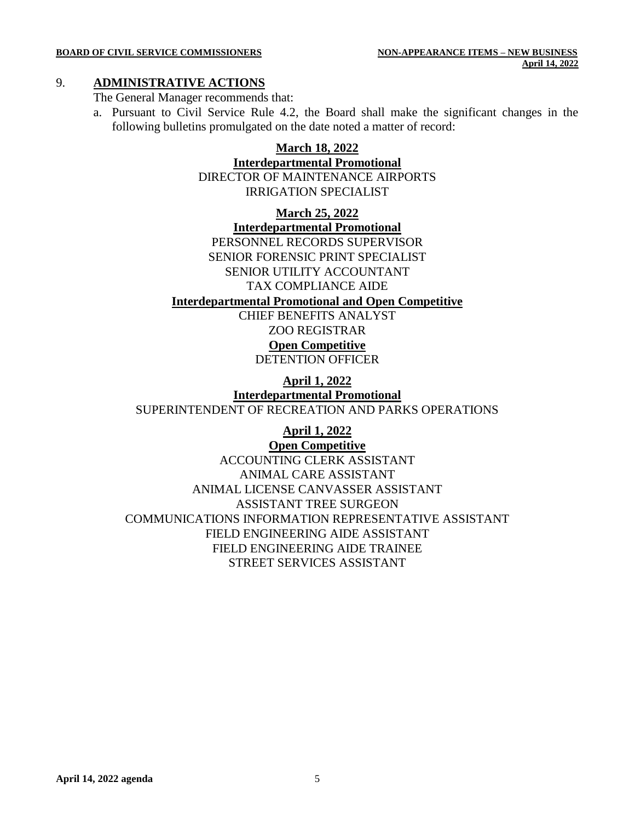#### 9. **ADMINISTRATIVE ACTIONS**

The General Manager recommends that:

a. Pursuant to Civil Service Rule 4.2, the Board shall make the significant changes in the following bulletins promulgated on the date noted a matter of record:

#### **March 18, 2022**

**Interdepartmental Promotional** DIRECTOR OF MAINTENANCE AIRPORTS

IRRIGATION SPECIALIST

**March 25, 2022**

**Interdepartmental Promotional** PERSONNEL RECORDS SUPERVISOR SENIOR FORENSIC PRINT SPECIALIST SENIOR UTILITY ACCOUNTANT TAX COMPLIANCE AIDE

#### **Interdepartmental Promotional and Open Competitive**

CHIEF BENEFITS ANALYST ZOO REGISTRAR

# **Open Competitive**

DETENTION OFFICER

**April 1, 2022**

**Interdepartmental Promotional** SUPERINTENDENT OF RECREATION AND PARKS OPERATIONS

**April 1, 2022**

**Open Competitive**

ACCOUNTING CLERK ASSISTANT ANIMAL CARE ASSISTANT ANIMAL LICENSE CANVASSER ASSISTANT ASSISTANT TREE SURGEON COMMUNICATIONS INFORMATION REPRESENTATIVE ASSISTANT FIELD ENGINEERING AIDE ASSISTANT FIELD ENGINEERING AIDE TRAINEE STREET SERVICES ASSISTANT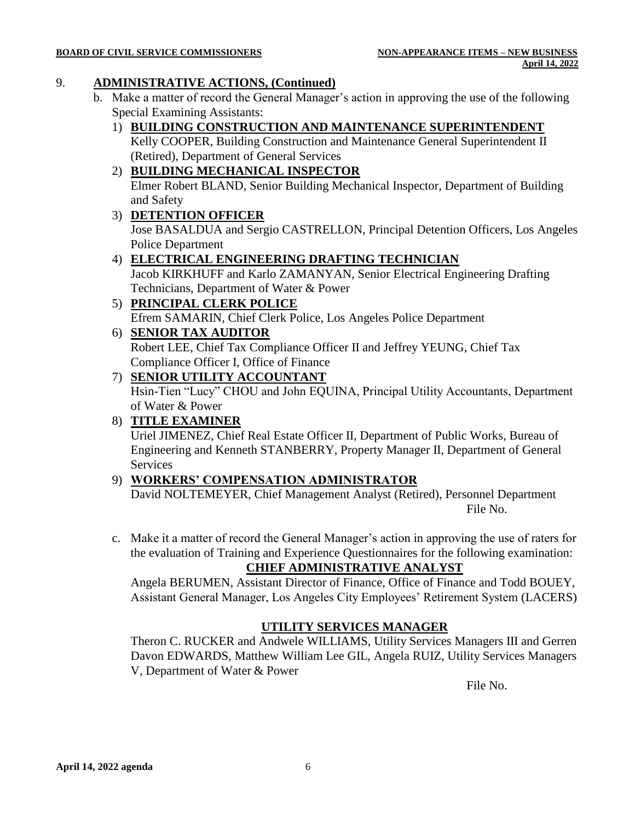#### **BOARD OF CIVIL SERVICE COMMISSIONERS NON-APPEARANCE ITEMS – NEW BUSINESS**

#### 9. **ADMINISTRATIVE ACTIONS, (Continued)**

- b. Make a matter of record the General Manager's action in approving the use of the following Special Examining Assistants:
	- 1) **BUILDING CONSTRUCTION AND MAINTENANCE SUPERINTENDENT** Kelly COOPER, Building Construction and Maintenance General Superintendent II (Retired), Department of General Services
	- 2) **BUILDING MECHANICAL INSPECTOR**

Elmer Robert BLAND, Senior Building Mechanical Inspector, Department of Building and Safety

3) **DETENTION OFFICER**

Jose BASALDUA and Sergio CASTRELLON, Principal Detention Officers, Los Angeles Police Department

# 4) **ELECTRICAL ENGINEERING DRAFTING TECHNICIAN**

Jacob KIRKHUFF and Karlo ZAMANYAN, Senior Electrical Engineering Drafting Technicians, Department of Water & Power

5) **PRINCIPAL CLERK POLICE**

Efrem SAMARIN, Chief Clerk Police, Los Angeles Police Department

6) **SENIOR TAX AUDITOR**

Robert LEE, Chief Tax Compliance Officer II and Jeffrey YEUNG, Chief Tax Compliance Officer I, Office of Finance

# 7) **SENIOR UTILITY ACCOUNTANT**

Hsin-Tien "Lucy" CHOU and John EQUINA, Principal Utility Accountants, Department of Water & Power

#### 8) **TITLE EXAMINER**

Uriel JIMENEZ, Chief Real Estate Officer II, Department of Public Works, Bureau of Engineering and Kenneth STANBERRY, Property Manager II, Department of General Services

# 9) **WORKERS' COMPENSATION ADMINISTRATOR**

David NOLTEMEYER, Chief Management Analyst (Retired), Personnel Department File No.

c. Make it a matter of record the General Manager's action in approving the use of raters for the evaluation of Training and Experience Questionnaires for the following examination:

# **CHIEF ADMINISTRATIVE ANALYST**

Angela BERUMEN, Assistant Director of Finance, Office of Finance and Todd BOUEY, Assistant General Manager, Los Angeles City Employees' Retirement System (LACERS)

#### **UTILITY SERVICES MANAGER**

Theron C. RUCKER and Andwele WILLIAMS, Utility Services Managers III and Gerren Davon EDWARDS, Matthew William Lee GIL, Angela RUIZ, Utility Services Managers V, Department of Water & Power

File No.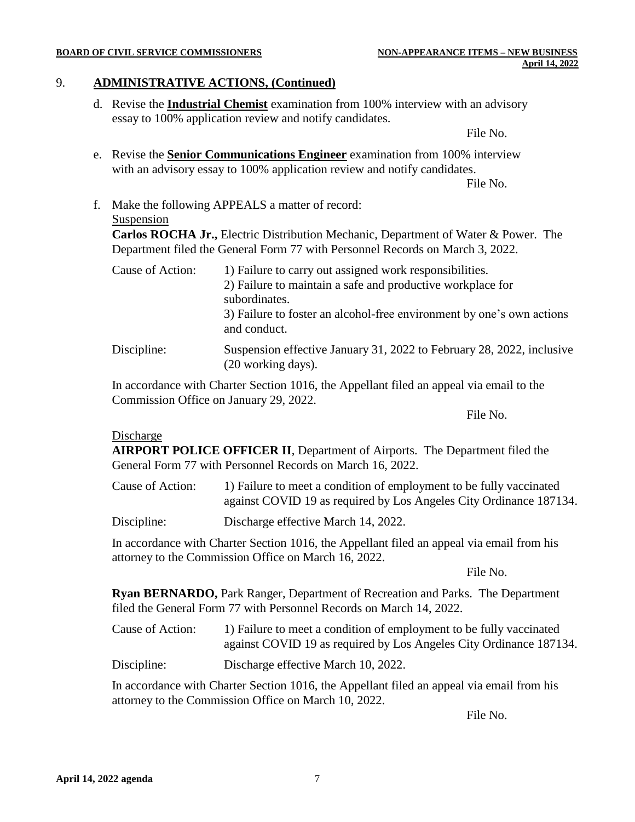#### **BOARD OF CIVIL SERVICE COMMISSIONERS NON-APPEARANCE ITEMS – NEW BUSINESS**

#### 9. **ADMINISTRATIVE ACTIONS, (Continued)**

d. Revise the **Industrial Chemist** examination from 100% interview with an advisory essay to 100% application review and notify candidates.

File No.

e. Revise the **Senior Communications Engineer** examination from 100% interview with an advisory essay to 100% application review and notify candidates.

File No.

f. Make the following APPEALS a matter of record: Suspension

**Carlos ROCHA Jr.,** Electric Distribution Mechanic, Department of Water & Power. The Department filed the General Form 77 with Personnel Records on March 3, 2022.

| Cause of Action: | 1) Failure to carry out assigned work responsibilities.                                     |  |  |
|------------------|---------------------------------------------------------------------------------------------|--|--|
|                  | 2) Failure to maintain a safe and productive workplace for<br>subordinates.                 |  |  |
|                  | 3) Failure to foster an alcohol-free environment by one's own actions<br>and conduct.       |  |  |
| Discipline:      | Suspension effective January 31, 2022 to February 28, 2022, inclusive<br>(20 working days). |  |  |

In accordance with Charter Section 1016, the Appellant filed an appeal via email to the Commission Office on January 29, 2022.

File No.

#### Discharge

**AIRPORT POLICE OFFICER II**, Department of Airports. The Department filed the General Form 77 with Personnel Records on March 16, 2022.

Cause of Action: 1) Failure to meet a condition of employment to be fully vaccinated against COVID 19 as required by Los Angeles City Ordinance 187134.

Discipline: Discharge effective March 14, 2022.

In accordance with Charter Section 1016, the Appellant filed an appeal via email from his attorney to the Commission Office on March 16, 2022.

File No.

**Ryan BERNARDO,** Park Ranger, Department of Recreation and Parks. The Department filed the General Form 77 with Personnel Records on March 14, 2022.

- Cause of Action: 1) Failure to meet a condition of employment to be fully vaccinated against COVID 19 as required by Los Angeles City Ordinance 187134.
- Discipline: Discharge effective March 10, 2022.

In accordance with Charter Section 1016, the Appellant filed an appeal via email from his attorney to the Commission Office on March 10, 2022.

File No.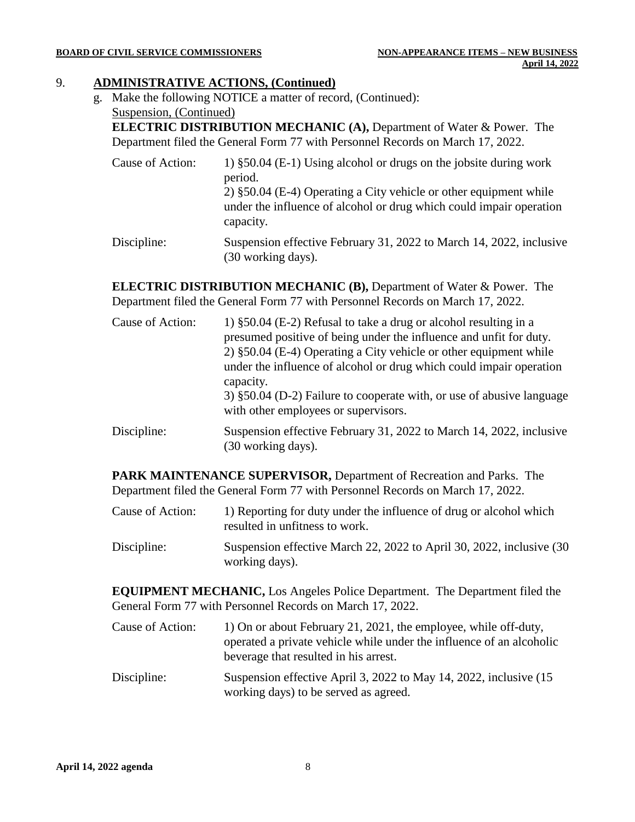#### **BOARD OF CIVIL SERVICE COMMISSIONERS NON-APPEARANCE ITEMS – NEW BUSINESS**

#### 9. **ADMINISTRATIVE ACTIONS, (Continued)**

g. Make the following NOTICE a matter of record, (Continued): Suspension, (Continued)

(30 working days).

**ELECTRIC DISTRIBUTION MECHANIC (A),** Department of Water & Power. The Department filed the General Form 77 with Personnel Records on March 17, 2022.

Cause of Action: 1) §50.04 (E-1) Using alcohol or drugs on the jobsite during work period. 2) §50.04 (E-4) Operating a City vehicle or other equipment while under the influence of alcohol or drug which could impair operation capacity. Discipline: Suspension effective February 31, 2022 to March 14, 2022, inclusive

**ELECTRIC DISTRIBUTION MECHANIC (B),** Department of Water & Power. The Department filed the General Form 77 with Personnel Records on March 17, 2022.

Cause of Action: 1) §50.04 (E-2) Refusal to take a drug or alcohol resulting in a presumed positive of being under the influence and unfit for duty. 2) §50.04 (E-4) Operating a City vehicle or other equipment while under the influence of alcohol or drug which could impair operation capacity. 3) §50.04 (D-2) Failure to cooperate with, or use of abusive language with other employees or supervisors. Discipline: Suspension effective February 31, 2022 to March 14, 2022, inclusive (30 working days).

**PARK MAINTENANCE SUPERVISOR,** Department of Recreation and Parks. The Department filed the General Form 77 with Personnel Records on March 17, 2022.

- Cause of Action: 1) Reporting for duty under the influence of drug or alcohol which resulted in unfitness to work.
- Discipline: Suspension effective March 22, 2022 to April 30, 2022, inclusive (30 working days).

**EQUIPMENT MECHANIC,** Los Angeles Police Department. The Department filed the General Form 77 with Personnel Records on March 17, 2022.

Cause of Action: 1) On or about February 21, 2021, the employee, while off-duty, operated a private vehicle while under the influence of an alcoholic beverage that resulted in his arrest. Discipline: Suspension effective April 3, 2022 to May 14, 2022, inclusive (15 working days) to be served as agreed.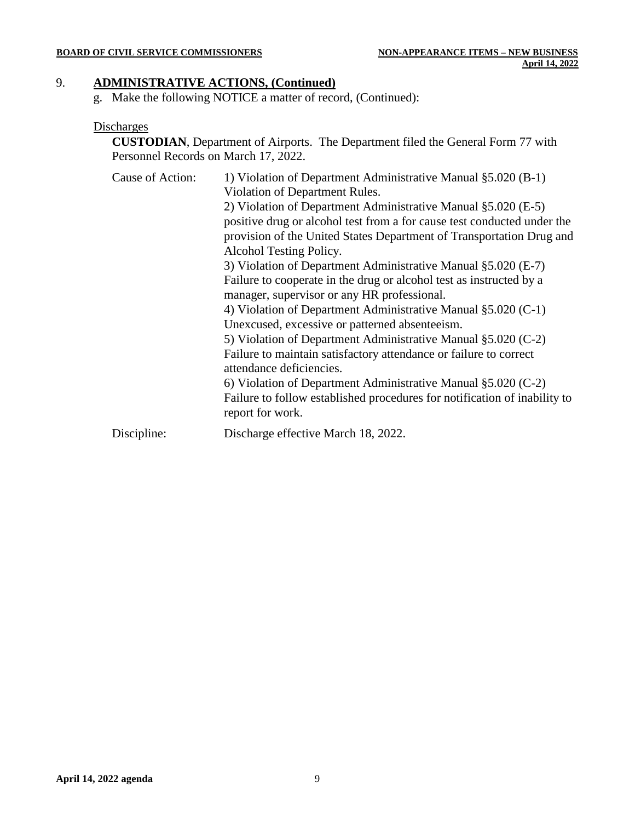#### 9. **ADMINISTRATIVE ACTIONS, (Continued)**

g. Make the following NOTICE a matter of record, (Continued):

#### **Discharges**

**CUSTODIAN**, Department of Airports. The Department filed the General Form 77 with Personnel Records on March 17, 2022.

| Cause of Action: | 1) Violation of Department Administrative Manual §5.020 (B-1)             |
|------------------|---------------------------------------------------------------------------|
|                  | Violation of Department Rules.                                            |
|                  | 2) Violation of Department Administrative Manual §5.020 (E-5)             |
|                  | positive drug or alcohol test from a for cause test conducted under the   |
|                  | provision of the United States Department of Transportation Drug and      |
|                  | Alcohol Testing Policy.                                                   |
|                  | 3) Violation of Department Administrative Manual §5.020 (E-7)             |
|                  | Failure to cooperate in the drug or alcohol test as instructed by a       |
|                  | manager, supervisor or any HR professional.                               |
|                  | 4) Violation of Department Administrative Manual §5.020 (C-1)             |
|                  | Unexcused, excessive or patterned absenteeism.                            |
|                  | 5) Violation of Department Administrative Manual §5.020 (C-2)             |
|                  | Failure to maintain satisfactory attendance or failure to correct         |
|                  | attendance deficiencies.                                                  |
|                  | 6) Violation of Department Administrative Manual $\S 5.020$ (C-2)         |
|                  | Failure to follow established procedures for notification of inability to |
|                  | report for work.                                                          |
| Discipline:      | Discharge effective March 18, 2022.                                       |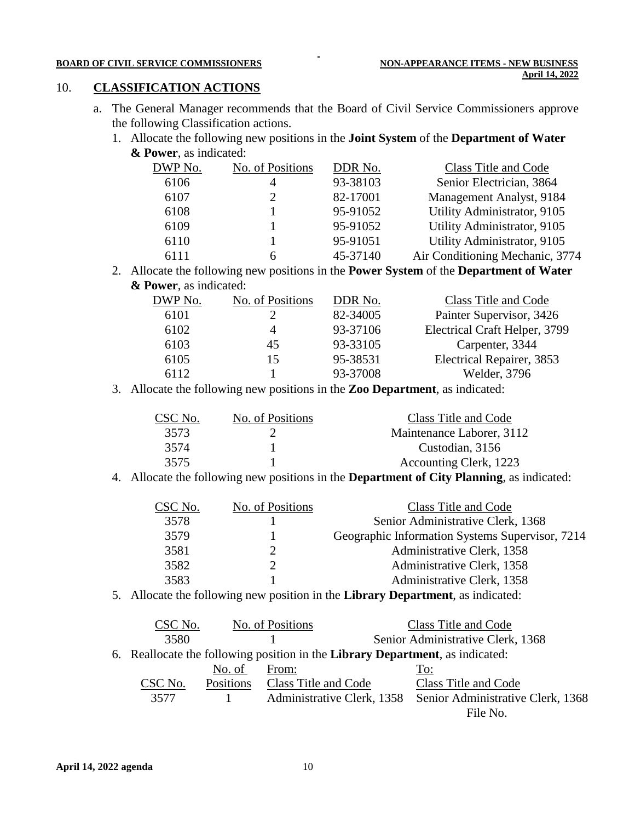#### 10. **CLASSIFICATION ACTIONS**

a. The General Manager recommends that the Board of Civil Service Commissioners approve the following Classification actions.

 $\blacksquare$ 

1. Allocate the following new positions in the **Joint System** of the **Department of Water & Power**, as indicated:

| DWP No. | No. of Positions | DDR No.  | Class Title and Code            |
|---------|------------------|----------|---------------------------------|
| 6106    | Δ                | 93-38103 | Senior Electrician, 3864        |
| 6107    |                  | 82-17001 | Management Analyst, 9184        |
| 6108    |                  | 95-91052 | Utility Administrator, 9105     |
| 6109    |                  | 95-91052 | Utility Administrator, 9105     |
| 6110    |                  | 95-91051 | Utility Administrator, 9105     |
| 6111    |                  | 45-37140 | Air Conditioning Mechanic, 3774 |

2. Allocate the following new positions in the **Power System** of the **Department of Water & Power**, as indicated:

| DWP No. | No. of Positions | DDR No.  | Class Title and Code          |
|---------|------------------|----------|-------------------------------|
| 6101    |                  | 82-34005 | Painter Supervisor, 3426      |
| 6102    |                  | 93-37106 | Electrical Craft Helper, 3799 |
| 6103    | 45               | 93-33105 | Carpenter, 3344               |
| 6105    | 15               | 95-38531 | Electrical Repairer, 3853     |
| 6112    |                  | 93-37008 | Welder, 3796                  |

3. Allocate the following new positions in the **Zoo Department**, as indicated:

| CSC No. | No. of Positions | Class Title and Code      |
|---------|------------------|---------------------------|
| 3573    |                  | Maintenance Laborer, 3112 |
| 3574    |                  | Custodian, 3156           |
| 3575    |                  | Accounting Clerk, 1223    |

4. Allocate the following new positions in the **Department of City Planning**, as indicated:

| CSC No. | No. of Positions | Class Title and Code                            |
|---------|------------------|-------------------------------------------------|
| 3578    |                  | Senior Administrative Clerk, 1368               |
| 3579    |                  | Geographic Information Systems Supervisor, 7214 |
| 3581    |                  | Administrative Clerk, 1358                      |
| 3582    |                  | Administrative Clerk, 1358                      |
| 3583    |                  | Administrative Clerk, 1358                      |

5. Allocate the following new position in the **Library Department**, as indicated:

| CSC No. |           | No. of Positions                                                              | Class Title and Code                                         |
|---------|-----------|-------------------------------------------------------------------------------|--------------------------------------------------------------|
| 3580    |           |                                                                               | Senior Administrative Clerk, 1368                            |
|         |           | 6. Reallocate the following position in the Library Department, as indicated: |                                                              |
|         | No. of    | From:                                                                         | To:                                                          |
| CSC No. | Positions | Class Title and Code                                                          | Class Title and Code                                         |
| 3577    |           |                                                                               | Administrative Clerk, 1358 Senior Administrative Clerk, 1368 |
|         |           |                                                                               | File No.                                                     |